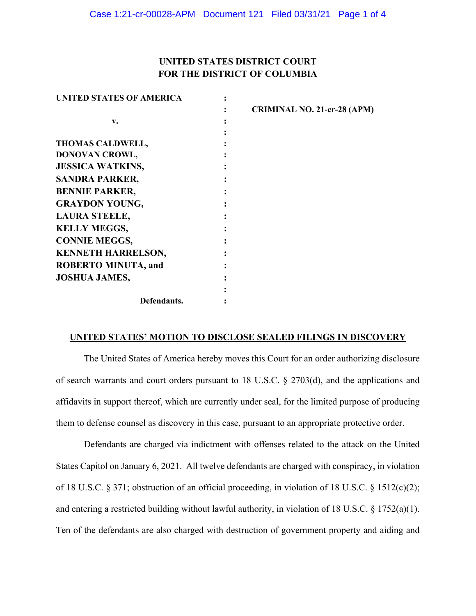# **UNITED STATES DISTRICT COURT FOR THE DISTRICT OF COLUMBIA**

| <b>UNITED STATES OF AMERICA</b> |                                    |
|---------------------------------|------------------------------------|
|                                 | <b>CRIMINAL NO. 21-cr-28 (APM)</b> |
| v.                              |                                    |
|                                 |                                    |
| <b>THOMAS CALDWELL,</b>         |                                    |
| DONOVAN CROWL,                  |                                    |
| <b>JESSICA WATKINS,</b>         |                                    |
| <b>SANDRA PARKER,</b>           |                                    |
| <b>BENNIE PARKER,</b>           |                                    |
| <b>GRAYDON YOUNG,</b>           |                                    |
| <b>LAURA STEELE,</b>            |                                    |
| <b>KELLY MEGGS,</b>             |                                    |
| <b>CONNIE MEGGS,</b>            |                                    |
| <b>KENNETH HARRELSON,</b>       |                                    |
| <b>ROBERTO MINUTA, and</b>      |                                    |
| <b>JOSHUA JAMES,</b>            |                                    |
|                                 |                                    |
| Defendants.                     |                                    |

# **UNITED STATES' MOTION TO DISCLOSE SEALED FILINGS IN DISCOVERY**

The United States of America hereby moves this Court for an order authorizing disclosure of search warrants and court orders pursuant to 18 U.S.C. § 2703(d), and the applications and affidavits in support thereof, which are currently under seal, for the limited purpose of producing them to defense counsel as discovery in this case, pursuant to an appropriate protective order.

Defendants are charged via indictment with offenses related to the attack on the United States Capitol on January 6, 2021. All twelve defendants are charged with conspiracy, in violation of 18 U.S.C. § 371; obstruction of an official proceeding, in violation of 18 U.S.C. § 1512(c)(2); and entering a restricted building without lawful authority, in violation of 18 U.S.C. § 1752(a)(1). Ten of the defendants are also charged with destruction of government property and aiding and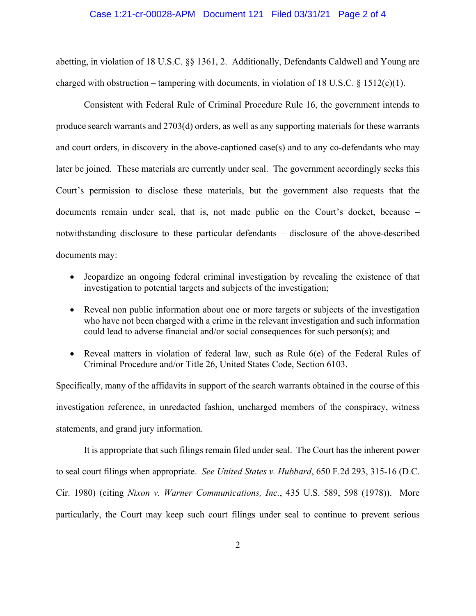#### Case 1:21-cr-00028-APM Document 121 Filed 03/31/21 Page 2 of 4

abetting, in violation of 18 U.S.C. §§ 1361, 2. Additionally, Defendants Caldwell and Young are charged with obstruction – tampering with documents, in violation of 18 U.S.C. § 1512(c)(1).

Consistent with Federal Rule of Criminal Procedure Rule 16, the government intends to produce search warrants and 2703(d) orders, as well as any supporting materials for these warrants and court orders, in discovery in the above-captioned case(s) and to any co-defendants who may later be joined. These materials are currently under seal. The government accordingly seeks this Court's permission to disclose these materials, but the government also requests that the documents remain under seal, that is, not made public on the Court's docket, because – notwithstanding disclosure to these particular defendants – disclosure of the above-described documents may:

- Jeopardize an ongoing federal criminal investigation by revealing the existence of that investigation to potential targets and subjects of the investigation;
- Reveal non public information about one or more targets or subjects of the investigation who have not been charged with a crime in the relevant investigation and such information could lead to adverse financial and/or social consequences for such person(s); and
- Reveal matters in violation of federal law, such as Rule 6(e) of the Federal Rules of Criminal Procedure and/or Title 26, United States Code, Section 6103.

Specifically, many of the affidavits in support of the search warrants obtained in the course of this investigation reference, in unredacted fashion, uncharged members of the conspiracy, witness statements, and grand jury information.

It is appropriate that such filings remain filed under seal. The Court has the inherent power to seal court filings when appropriate. *See United States v. Hubbard*, 650 F.2d 293, 315-16 (D.C. Cir. 1980) (citing *Nixon v. Warner Communications, Inc.*, 435 U.S. 589, 598 (1978)). More particularly, the Court may keep such court filings under seal to continue to prevent serious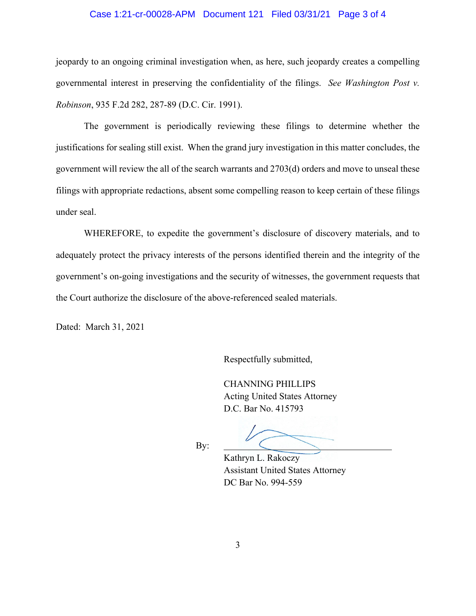## Case 1:21-cr-00028-APM Document 121 Filed 03/31/21 Page 3 of 4

jeopardy to an ongoing criminal investigation when, as here, such jeopardy creates a compelling governmental interest in preserving the confidentiality of the filings. *See Washington Post v. Robinson*, 935 F.2d 282, 287-89 (D.C. Cir. 1991).

The government is periodically reviewing these filings to determine whether the justifications for sealing still exist. When the grand jury investigation in this matter concludes, the government will review the all of the search warrants and 2703(d) orders and move to unseal these filings with appropriate redactions, absent some compelling reason to keep certain of these filings under seal.

WHEREFORE, to expedite the government's disclosure of discovery materials, and to adequately protect the privacy interests of the persons identified therein and the integrity of the government's on-going investigations and the security of witnesses, the government requests that the Court authorize the disclosure of the above-referenced sealed materials.

Dated: March 31, 2021

Respectfully submitted,

CHANNING PHILLIPS Acting United States Attorney D.C. Bar No. 415793

By:

 Kathryn L. Rakoczy Assistant United States Attorney DC Bar No. 994-559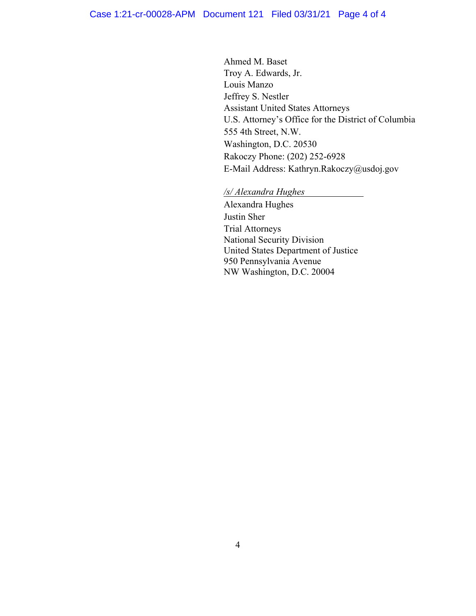Ahmed M. Baset Troy A. Edwards, Jr. Louis Manzo Jeffrey S. Nestler Assistant United States Attorneys U.S. Attorney's Office for the District of Columbia 555 4th Street, N.W. Washington, D.C. 20530 Rakoczy Phone: (202) 252-6928 E-Mail Address: Kathryn.Rakoczy@usdoj.gov

#### */s/ Alexandra Hughes*

 Alexandra Hughes Justin Sher Trial Attorneys National Security Division United States Department of Justice 950 Pennsylvania Avenue NW Washington, D.C. 20004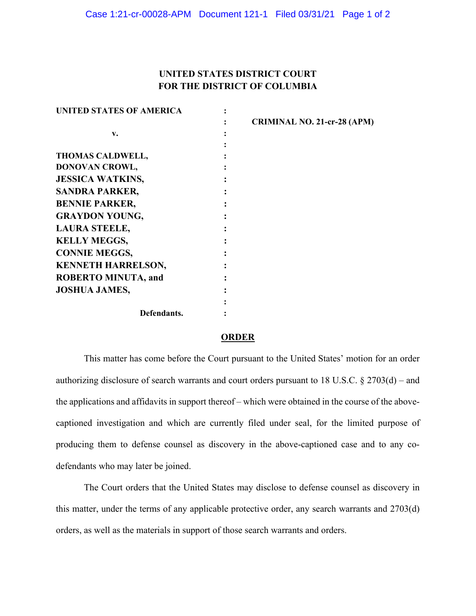# **UNITED STATES DISTRICT COURT FOR THE DISTRICT OF COLUMBIA**

| <b>UNITED STATES OF AMERICA</b> |                                    |
|---------------------------------|------------------------------------|
|                                 | <b>CRIMINAL NO. 21-cr-28 (APM)</b> |
| $\mathbf{v}$ .                  |                                    |
|                                 |                                    |
| THOMAS CALDWELL,                |                                    |
| DONOVAN CROWL,                  |                                    |
| <b>JESSICA WATKINS,</b>         |                                    |
| <b>SANDRA PARKER,</b>           |                                    |
| <b>BENNIE PARKER,</b>           |                                    |
| <b>GRAYDON YOUNG,</b>           |                                    |
| <b>LAURA STEELE,</b>            |                                    |
| <b>KELLY MEGGS,</b>             |                                    |
| <b>CONNIE MEGGS,</b>            |                                    |
| <b>KENNETH HARRELSON,</b>       |                                    |
| <b>ROBERTO MINUTA, and</b>      |                                    |
| <b>JOSHUA JAMES,</b>            |                                    |
|                                 |                                    |
| Defendants.                     |                                    |

## **ORDER**

This matter has come before the Court pursuant to the United States' motion for an order authorizing disclosure of search warrants and court orders pursuant to 18 U.S.C. § 2703(d) – and the applications and affidavits in support thereof – which were obtained in the course of the abovecaptioned investigation and which are currently filed under seal, for the limited purpose of producing them to defense counsel as discovery in the above-captioned case and to any codefendants who may later be joined.

The Court orders that the United States may disclose to defense counsel as discovery in this matter, under the terms of any applicable protective order, any search warrants and 2703(d) orders, as well as the materials in support of those search warrants and orders.